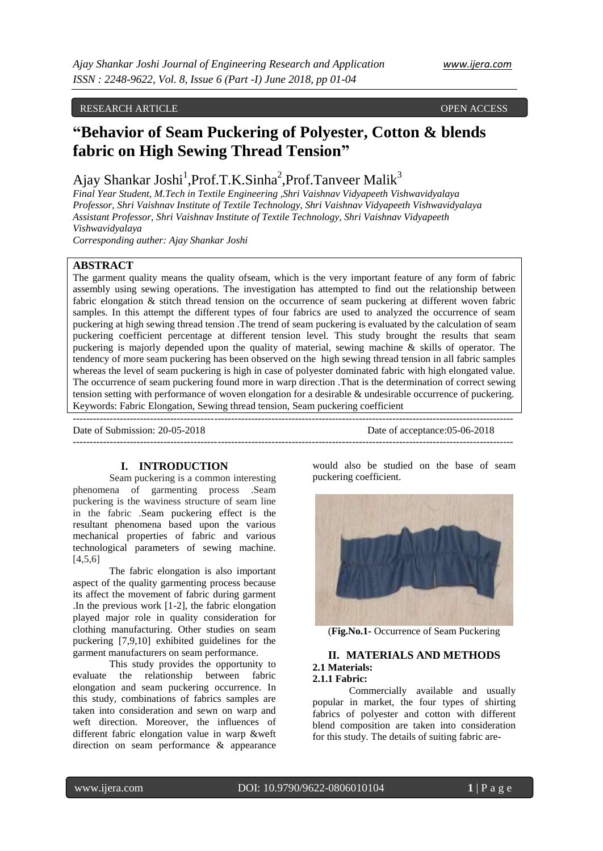# RESEARCH ARTICLE **CONSERVERS** OPEN ACCESS OPEN ACCESS

# **"Behavior of Seam Puckering of Polyester, Cotton & blends fabric on High Sewing Thread Tension"**

# Ajay Shankar Joshi<sup>1</sup>, Prof.T.K.Sinha<sup>2</sup>, Prof.Tanveer Malik<sup>3</sup>

*Final Year Student, M.Tech in Textile Engineering ,Shri Vaishnav Vidyapeeth Vishwavidyalaya Professor, Shri Vaishnav Institute of Textile Technology, Shri Vaishnav Vidyapeeth Vishwavidyalaya Assistant Professor, Shri Vaishnav Institute of Textile Technology, Shri Vaishnav Vidyapeeth Vishwavidyalaya*

*Corresponding auther: Ajay Shankar Joshi*

# **ABSTRACT**

The garment quality means the quality ofseam, which is the very important feature of any form of fabric assembly using sewing operations. The investigation has attempted to find out the relationship between fabric elongation & stitch thread tension on the occurrence of seam puckering at different woven fabric samples. In this attempt the different types of four fabrics are used to analyzed the occurrence of seam puckering at high sewing thread tension .The trend of seam puckering is evaluated by the calculation of seam puckering coefficient percentage at different tension level. This study brought the results that seam puckering is majorly depended upon the quality of material, sewing machine & skills of operator. The tendency of more seam puckering has been observed on the high sewing thread tension in all fabric samples whereas the level of seam puckering is high in case of polyester dominated fabric with high elongated value. The occurrence of seam puckering found more in warp direction .That is the determination of correct sewing tension setting with performance of woven elongation for a desirable & undesirable occurrence of puckering. Keywords: Fabric Elongation, Sewing thread tension, Seam puckering coefficient

-----------------------------------------------------------------------------------------------------------------------------------

Date of Submission: 20-05-2018 Date of acceptance:05-06-2018

## **I. INTRODUCTION**

-----------------------------------------------------------------------------------------------------------------------------------

Seam puckering is a common interesting phenomena of garmenting process .Seam puckering is the waviness structure of seam line in the fabric .Seam puckering effect is the resultant phenomena based upon the various mechanical properties of fabric and various technological parameters of sewing machine.  $[4,5,6]$ 

The fabric elongation is also important aspect of the quality garmenting process because its affect the movement of fabric during garment .In the previous work [1-2], the fabric elongation played major role in quality consideration for clothing manufacturing. Other studies on seam puckering [7,9,10] exhibited guidelines for the garment manufacturers on seam performance.

This study provides the opportunity to evaluate the relationship between fabric elongation and seam puckering occurrence. In this study, combinations of fabrics samples are taken into consideration and sewn on warp and weft direction. Moreover, the influences of different fabric elongation value in warp &weft direction on seam performance & appearance

would also be studied on the base of seam puckering coefficient.



(**Fig.No.1-** Occurrence of Seam Puckering

# **II. MATERIALS AND METHODS 2.1 Materials:**

**2.1.1 Fabric:**

Commercially available and usually popular in market, the four types of shirting fabrics of polyester and cotton with different blend composition are taken into consideration for this study. The details of suiting fabric are-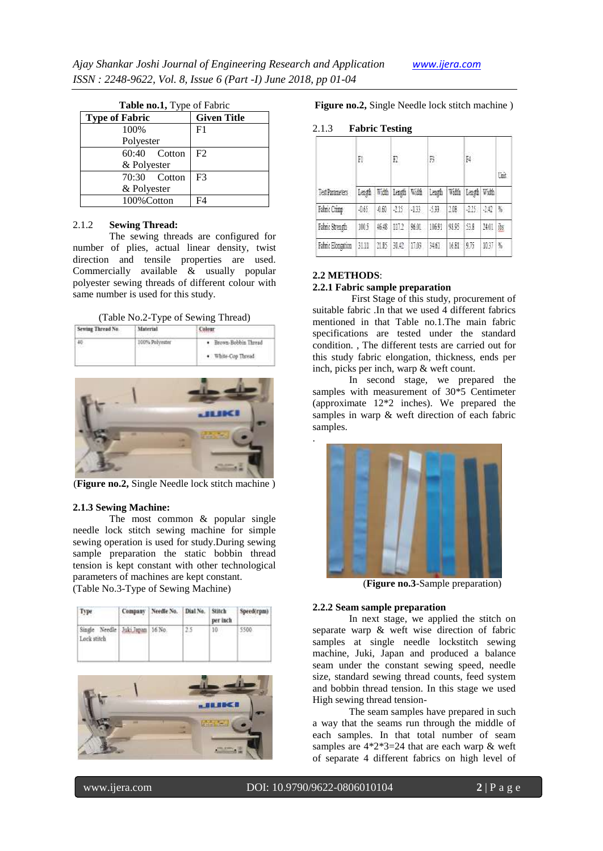| Table no.1, Type of Fabric |                    |  |  |  |
|----------------------------|--------------------|--|--|--|
| <b>Type of Fabric</b>      | <b>Given Title</b> |  |  |  |
| 100%                       | F <sub>1</sub>     |  |  |  |
| Polyester                  |                    |  |  |  |
| $\overline{60:}40$ Cotton  | F2                 |  |  |  |
| & Polyester                |                    |  |  |  |
| 70:30 Cotton               | F <sup>3</sup>     |  |  |  |
| & Polyester                |                    |  |  |  |
| 100% Cotton                | F4                 |  |  |  |

#### 2.1.2 **Sewing Thread:**

The sewing threads are configured for number of plies, actual linear density, twist direction and tensile properties are used. Commercially available & usually popular polyester sewing threads of different colour with same number is used for this study.

| (Table No.2-Type of Sewing Thread) |  |
|------------------------------------|--|
|------------------------------------|--|

| Sewing Thread No.<br>1000 NOVEMBER | Material                             |                                                                                 |  |
|------------------------------------|--------------------------------------|---------------------------------------------------------------------------------|--|
|                                    | 100% Polyester<br>[이 사내 주인 사이] [ 이 ] | · Brown-Bobbin Thread<br>standard in basic metabolis Grad<br>· White-Cop Thread |  |



(**Figure no.2,** Single Needle lock stitch machine )

#### **2.1.3 Sewing Machine:**

The most common & popular single needle lock stitch sewing machine for simple sewing operation is used for study.During sewing sample preparation the static bobbin thread tension is kept constant with other technological parameters of machines are kept constant. (Table No.3-Type of Sewing Machine)

| Type:                                          | Company Needle No.   Dial No.   Stitch | per inch | Speed(rpm) |
|------------------------------------------------|----------------------------------------|----------|------------|
| Single Needle Juki Japan 16 No.<br>Lock stitch |                                        | 10       |            |



**Figure no.2,** Single Needle lock stitch machine )

#### 2.1.3 **Fabric Testing**

|                   | F1     |      | F.            |      | B      |           | F4           |              | Unit |
|-------------------|--------|------|---------------|------|--------|-----------|--------------|--------------|------|
| Test Parameters   | Length |      | With Length   | With | Leagh  | 新通        | Length Width |              |      |
| Fabric Crimp      | 461    | 160  | $-115$ $-133$ |      | $-533$ | 218       | $-225$       | -142         | 覧    |
| Fabric Streagh    | 1005   | 新报   | 1112 9601     |      | 10691  | 蜘蛛        | 51           | <b>14.01</b> | Ř5   |
| Fabric Elongation | 扣      | 2115 | 並42   1703    |      | 36     | 1681 9.75 |              | 1037         | 髯    |

### **2.2 METHODS**:

.

# **2.2.1 Fabric sample preparation**

First Stage of this study, procurement of suitable fabric .In that we used 4 different fabrics mentioned in that Table no.1.The main fabric specifications are tested under the standard condition. , The different tests are carried out for this study fabric elongation, thickness, ends per inch, picks per inch, warp & weft count.

In second stage, we prepared the samples with measurement of 30\*5 Centimeter (approximate 12\*2 inches). We prepared the samples in warp & weft direction of each fabric samples.



(**Figure no.3**-Sample preparation)

#### **2.2.2 Seam sample preparation**

In next stage, we applied the stitch on separate warp & weft wise direction of fabric samples at single needle lockstitch sewing machine, Juki, Japan and produced a balance seam under the constant sewing speed, needle size, standard sewing thread counts, feed system and bobbin thread tension. In this stage we used High sewing thread tension-

The seam samples have prepared in such a way that the seams run through the middle of each samples. In that total number of seam samples are  $4*2*3=24$  that are each warp & weft of separate 4 different fabrics on high level of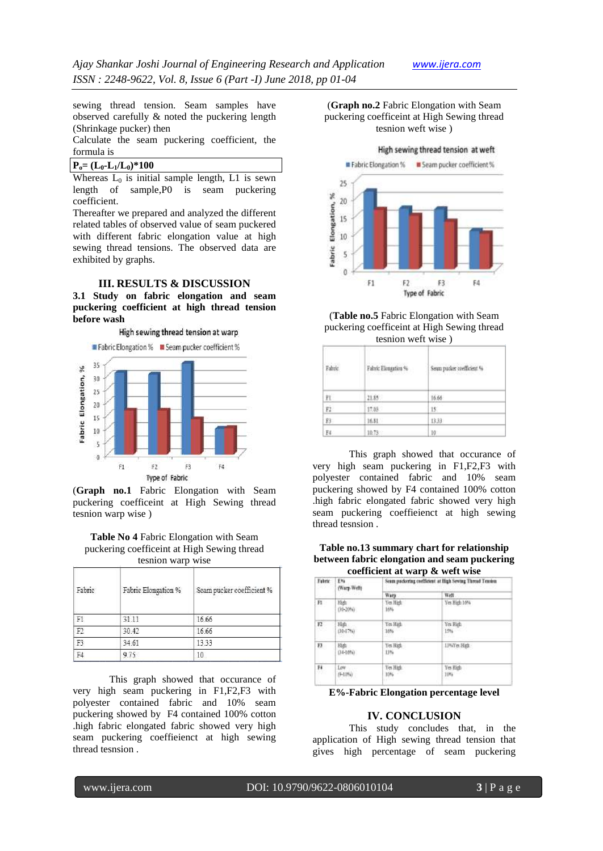sewing thread tension. Seam samples have observed carefully & noted the puckering length (Shrinkage pucker) then

Calculate the seam puckering coefficient, the formula is

 $P_o = (L_0 - L_1/L_0) * 100$ 

Whereas  $L_0$  is initial sample length, L1 is sewn length of sample,P0 is seam puckering coefficient.

Thereafter we prepared and analyzed the different related tables of observed value of seam puckered with different fabric elongation value at high sewing thread tensions. The observed data are exhibited by graphs.

#### **III. RESULTS & DISCUSSION**

**3.1 Study on fabric elongation and seam puckering coefficient at high thread tension before wash** 



(**Graph no.1** Fabric Elongation with Seam puckering coefficeint at High Sewing thread tesnion warp wise )

**Table No 4** Fabric Elongation with Seam puckering coefficeint at High Sewing thread tesnion warp wise

| Fabric         | Fabric Elongation % | Seam pucker coefficient % |
|----------------|---------------------|---------------------------|
| F1             | 31.11               | 16.66                     |
| F <sub>2</sub> | 30.42               | 16.66                     |
| F3             | 34.61               | 13.33                     |
|                | 9.75                | $10^{-1}$                 |

This graph showed that occurance of very high seam puckering in F1,F2,F3 with polyester contained fabric and 10% seam puckering showed by F4 contained 100% cotton .high fabric elongated fabric showed very high seam puckering coeffieienct at high sewing thread tesnsion .

(**Graph no.2** Fabric Elongation with Seam puckering coefficeint at High Sewing thread tesnion weft wise )



(**Table no.5** Fabric Elongation with Seam puckering coefficeint at High Sewing thread tesnion weft wise )

|                                   | w.                                                                        |                           |  |
|-----------------------------------|---------------------------------------------------------------------------|---------------------------|--|
| Fahrie<br>4632X                   | 25 - 9 M ANY 1 TAU 1 1 1 2 2 1<br>Fabric Elongation %<br>지하게 되었다 들어가자 원소를 | Seam packer coefficient % |  |
| $\frac{\mathbb{P}1}{\mathbb{P}2}$ | 21.85                                                                     | 16.66                     |  |
|                                   | 17.08                                                                     | 15.                       |  |
| 群                                 | 16.81                                                                     | 13.33                     |  |
| F4                                | 10.73                                                                     | 10                        |  |

This graph showed that occurance of very high seam puckering in F1,F2,F3 with polyester contained fabric and 10% seam puckering showed by F4 contained 100% cotton .high fabric elongated fabric showed very high seam puckering coeffieienct at high sewing thread tesnsion .

**Table no.13 summary chart for relationship between fabric elongation and seam puckering coefficient at warp & weft wise**

| Fabric | ENG<br>(Warp-Weft)    | Seam packering coefficient at High Sewing Thread Teaston |                 |  |  |
|--------|-----------------------|----------------------------------------------------------|-----------------|--|--|
|        |                       | Warp                                                     | Well            |  |  |
| n.     | 顶齿<br>(35-20%)        | Yes High<br>16%                                          | Yes High 10%    |  |  |
| 12     | 田由<br>(30-17%)        | Yes High<br>16%<br>-96                                   | Yes High<br>10% |  |  |
| B.     | High<br>$(34 - 1096)$ | Yes High<br>13%                                          | LPVTet High     |  |  |
| Fŧ     | Low.<br>(9-10%)       | Yes High<br>10%                                          | Yes High<br>10% |  |  |
|        |                       |                                                          |                 |  |  |

**E%-Fabric Elongation percentage level**

## **IV. CONCLUSION**

This study concludes that, in the application of High sewing thread tension that gives high percentage of seam puckering